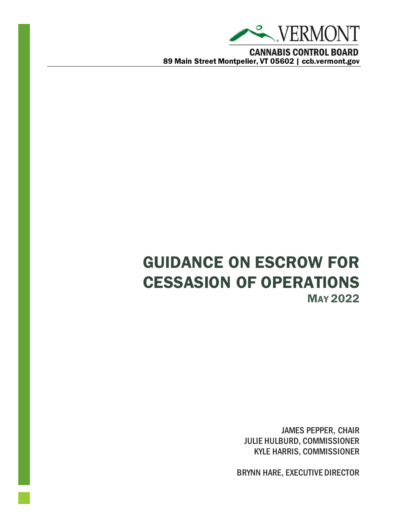

# GUIDANCE ON ESCROW FOR CESSASION OF OPERATIONS MAY 2022

JAMES PEPPER, CHAIR JULIE HULBURD, COMMISSIONER KYLE HARRIS, COMMISSIONER

BRYNN HARE, EXECUTIVE DIRECTOR